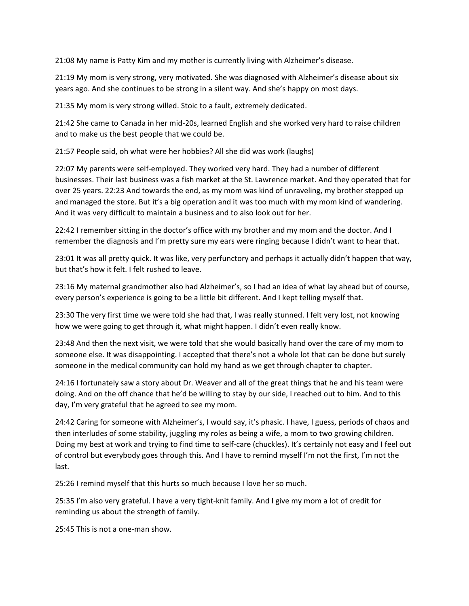21:08 My name is Patty Kim and my mother is currently living with Alzheimer's disease.

21:19 My mom is very strong, very motivated. She was diagnosed with Alzheimer's disease about six years ago. And she continues to be strong in a silent way. And she's happy on most days.

21:35 My mom is very strong willed. Stoic to a fault, extremely dedicated.

21:42 She came to Canada in her mid-20s, learned English and she worked very hard to raise children and to make us the best people that we could be.

21:57 People said, oh what were her hobbies? All she did was work (laughs)

22:07 My parents were self-employed. They worked very hard. They had a number of different businesses. Their last business was a fish market at the St. Lawrence market. And they operated that for over 25 years. 22:23 And towards the end, as my mom was kind of unraveling, my brother stepped up and managed the store. But it's a big operation and it was too much with my mom kind of wandering. And it was very difficult to maintain a business and to also look out for her.

22:42 I remember sitting in the doctor's office with my brother and my mom and the doctor. And I remember the diagnosis and I'm pretty sure my ears were ringing because I didn't want to hear that.

23:01 It was all pretty quick. It was like, very perfunctory and perhaps it actually didn't happen that way, but that's how it felt. I felt rushed to leave.

23:16 My maternal grandmother also had Alzheimer's, so I had an idea of what lay ahead but of course, every person's experience is going to be a little bit different. And I kept telling myself that.

23:30 The very first time we were told she had that, I was really stunned. I felt very lost, not knowing how we were going to get through it, what might happen. I didn't even really know.

23:48 And then the next visit, we were told that she would basically hand over the care of my mom to someone else. It was disappointing. I accepted that there's not a whole lot that can be done but surely someone in the medical community can hold my hand as we get through chapter to chapter.

24:16 I fortunately saw a story about Dr. Weaver and all of the great things that he and his team were doing. And on the off chance that he'd be willing to stay by our side, I reached out to him. And to this day, I'm very grateful that he agreed to see my mom.

24:42 Caring for someone with Alzheimer's, I would say, it's phasic. I have, I guess, periods of chaos and then interludes of some stability, juggling my roles as being a wife, a mom to two growing children. Doing my best at work and trying to find time to self-care (chuckles). It's certainly not easy and I feel out of control but everybody goes through this. And I have to remind myself I'm not the first, I'm not the last.

25:26 I remind myself that this hurts so much because I love her so much.

25:35 I'm also very grateful. I have a very tight-knit family. And I give my mom a lot of credit for reminding us about the strength of family.

25:45 This is not a one-man show.